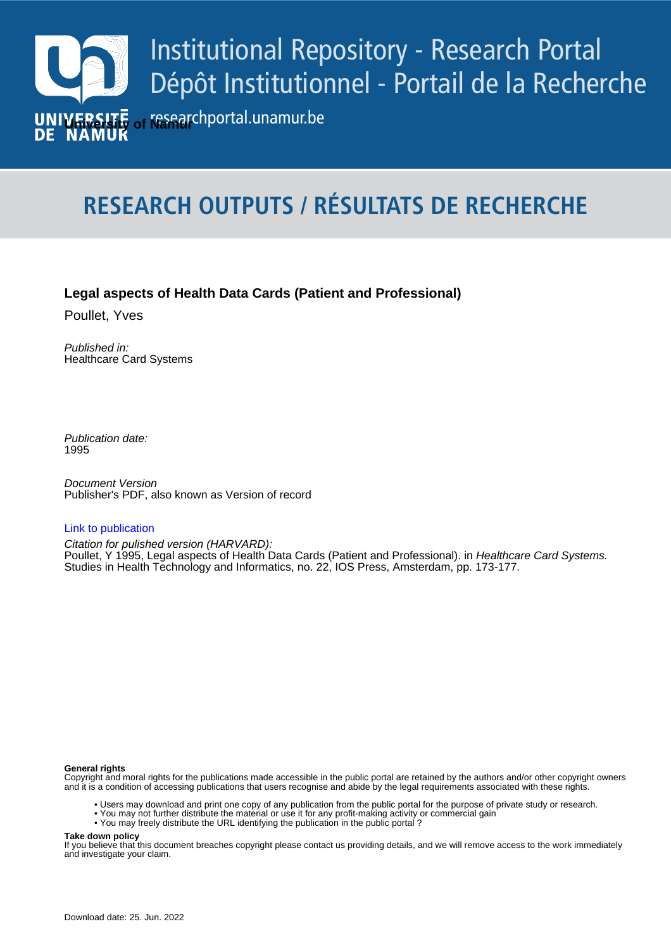

# **RESEARCH OUTPUTS / RÉSULTATS DE RECHERCHE**

## **Legal aspects of Health Data Cards (Patient and Professional)**

Poullet, Yves

Published in: Healthcare Card Systems

Publication date: 1995

**Publication date - Date de publication :** Publisher's PDF, also known as Version of record Document Version

### [Link to publication](https://researchportal.unamur.be/en/publications/480c593d-048a-4f76-9c13-1c8182e1011f)

Studies in Health Technology and Informatics, no. 22, IOS Press, Amsterdam, pp. 173-177. Citation for pulished version (HARVARD): Poullet, Y 1995, Legal aspects of Health Data Cards (Patient and Professional). in Healthcare Card Systems.

#### **General rights**

Copyright and moral rights for the publications made accessible in the public portal are retained by the authors and/or other copyright owners and it is a condition of accessing publications that users recognise and abide by the legal requirements associated with these rights.

- Users may download and print one copy of any publication from the public portal for the purpose of private study or research.
- You may not further distribute the material or use it for any profit-making activity or commercial gain
- You may freely distribute the URL identifying the publication in the public portal ?

#### **Take down policy**

If you believe that this document breaches copyright please contact us providing details, and we will remove access to the work immediately and investigate your claim.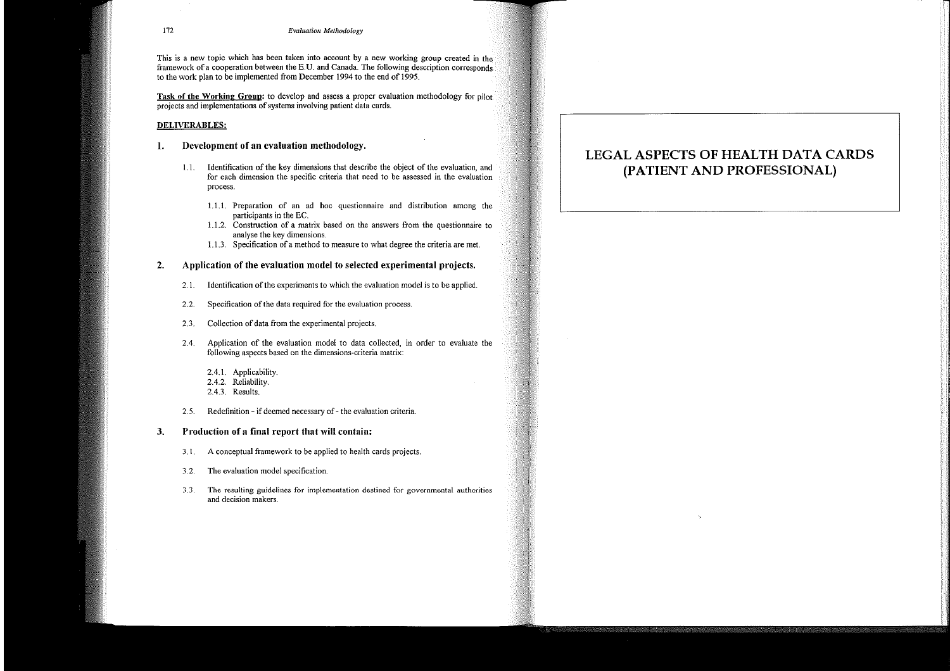# LEGAL ASPECTS OF HEALTH DATA CARDS (PATIENT AND PROFESSIONAL)

ċ,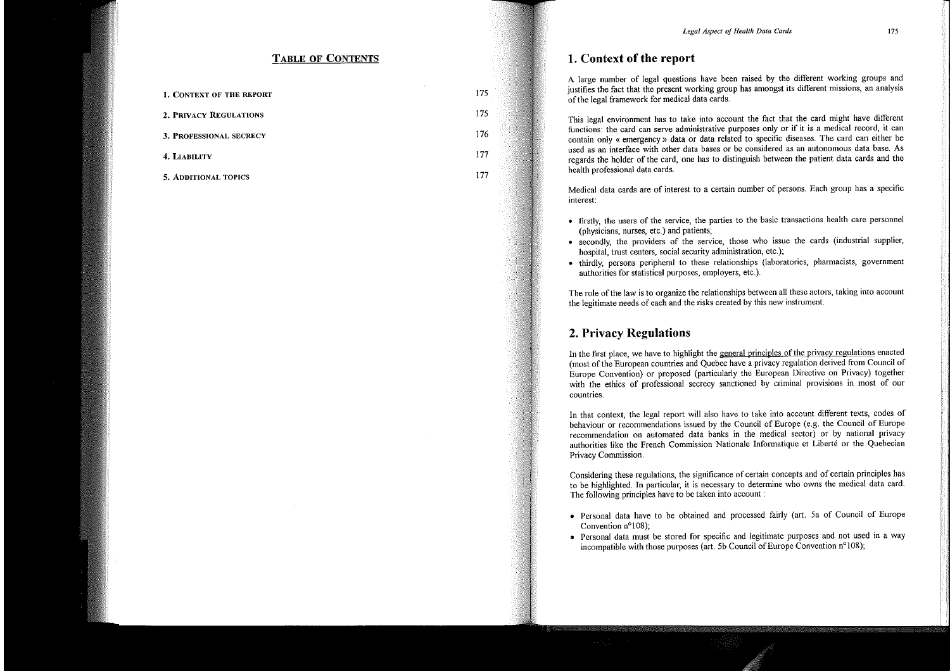## **TABLE OF CONTENTS**

| <b>1. CONTEXT OF THE REPORT</b> | 175     |
|---------------------------------|---------|
| 2. PRIVACY REGULATIONS          | $175 -$ |
| <b>3. PROFESSIONAL SECRECY</b>  | 176     |
| 4. LIABILITY                    | 177     |
| <b>5. ADDITIONAL TOPICS</b>     | 177     |

## 1. Context of the report

A large number of legal questions have been raised by the different working groups and justifies the fact that the present working group has amongst its different missions, an analysis of the legal framework for medical data cards.

This legal environment has to take into account the fact that the card might have different functions: the card can serve administrative purposes only or if it is a medical record, it can contain only « emergency » data or data related to specific diseases. The card can either be used as an interface with other data bases or be considered as an autonomous data base. As regards the holder of the card, one has to distinguish between the patient data cards and the health professional data cards.

Medical data cards are of interest to a certain number of persons. Each group has a specific interest:

- firstly, the users of the service, the parties to the basic transactions health care personnel (physicians, nurses, etc.) and patients;
- secondly, the providers of the service, those who issue the cards (industrial supplier, hospital, trust centers, social security administration, etc.);
- thirdly, persons peripheral to these relationships (laboratories, pharmacists, government authorities for statistical purposes, employers, etc.).

The role of the law is to organize the relationships between all these actors, taking into account the legitimate needs of each and the risks created by this new instrument.

## 2. Privacy Regulations

In the first place, we have to highlight the general principles of the privacy regulations enacted (most of the European countries and Quebec have a privacy regulation derived from Council of Europe Convention) or proposed (particularly the European Directive on Privacy) together with the ethics of professional secrecy sanctioned by criminal provisions in most of our countries.

In that context, the legal report will also have to take into account different texts, codes of behaviour or recommendations issued by the Council of Europe (e.g. the Council of Europe recommendation on automated data banks in the medical sector) or by national privacy authorities like the French Commission Nationale Informatique et Liberté or the Quebecian Privacy Commission.

Considering these regulations, the significance of certain concepts and of certain principles has to be highlighted. In particular, it is necessary to determine who owns the medical data card. The following principles have to be taken into account:

- · Personal data have to be obtained and processed fairly (art. 5a of Council of Europe Convention  $n^{\circ}108$ ;
- Personal data must be stored for specific and legitimate purposes and not used in a way incompatible with those purposes (art. 5b Council of Europe Convention n°108);